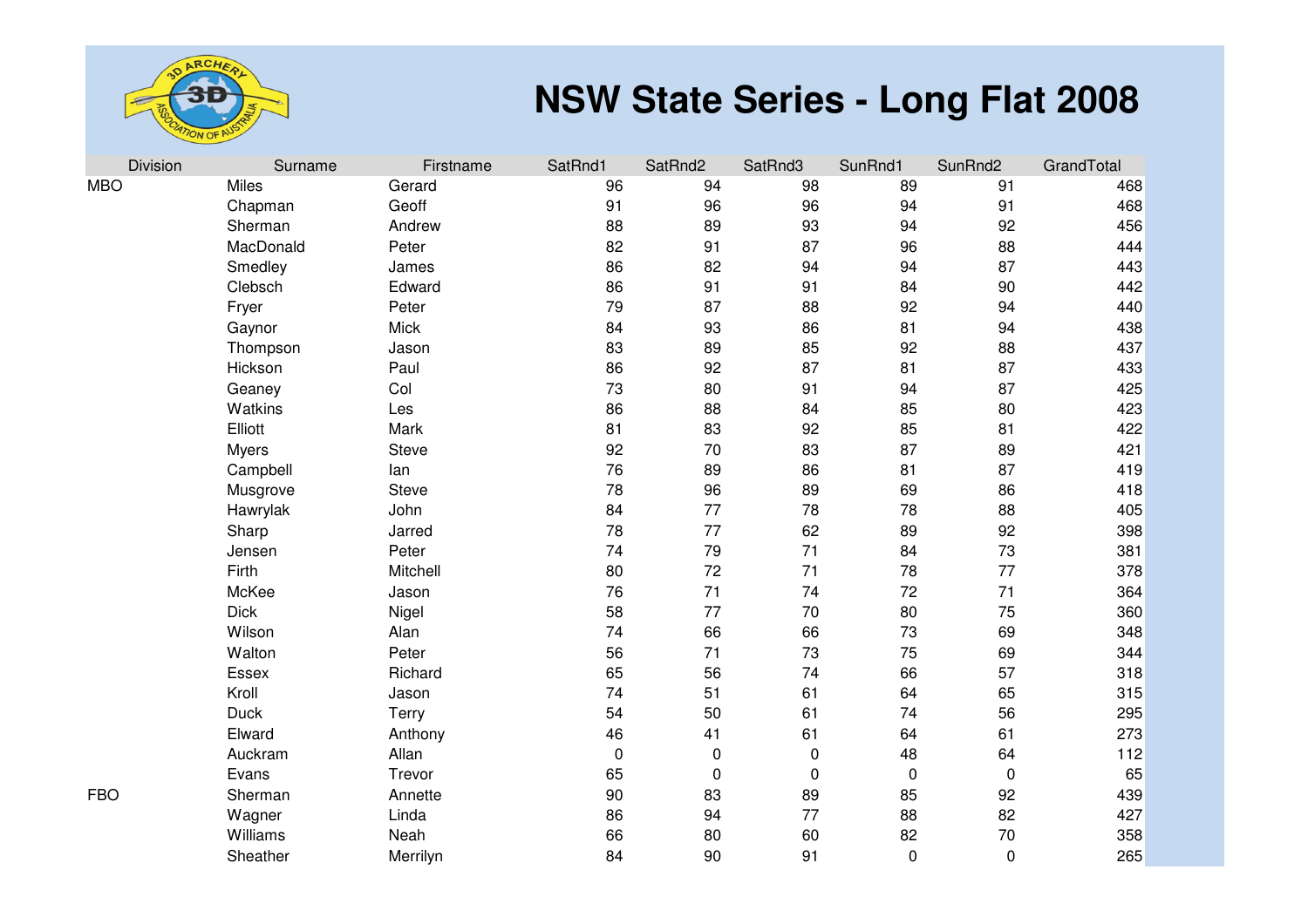

| Division   | Surname      | Firstname    | SatRnd1 | SatRnd2     | SatRnd3     | SunRnd1     | SunRnd2     | GrandTotal |
|------------|--------------|--------------|---------|-------------|-------------|-------------|-------------|------------|
| <b>MBO</b> | Miles        | Gerard       | 96      | 94          | 98          | 89          | 91          | 468        |
|            | Chapman      | Geoff        | 91      | 96          | 96          | 94          | 91          | 468        |
|            | Sherman      | Andrew       | 88      | 89          | 93          | 94          | 92          | 456        |
|            | MacDonald    | Peter        | 82      | 91          | 87          | 96          | 88          | 444        |
|            | Smedley      | James        | 86      | 82          | 94          | 94          | 87          | 443        |
|            | Clebsch      | Edward       | 86      | 91          | 91          | 84          | 90          | 442        |
|            | Fryer        | Peter        | 79      | 87          | 88          | 92          | 94          | 440        |
|            | Gaynor       | Mick         | 84      | 93          | 86          | 81          | 94          | 438        |
|            | Thompson     | Jason        | 83      | 89          | 85          | 92          | 88          | 437        |
|            | Hickson      | Paul         | 86      | 92          | 87          | 81          | 87          | 433        |
|            | Geaney       | Col          | 73      | 80          | 91          | 94          | 87          | 425        |
|            | Watkins      | Les          | 86      | 88          | 84          | 85          | 80          | 423        |
|            | Elliott      | Mark         | 81      | 83          | 92          | 85          | 81          | 422        |
|            | <b>Myers</b> | <b>Steve</b> | 92      | 70          | 83          | 87          | 89          | 421        |
|            | Campbell     | lan          | 76      | 89          | 86          | 81          | 87          | 419        |
|            | Musgrove     | <b>Steve</b> | 78      | 96          | 89          | 69          | 86          | 418        |
|            | Hawrylak     | John         | 84      | 77          | 78          | 78          | 88          | 405        |
|            | Sharp        | Jarred       | 78      | 77          | 62          | 89          | 92          | 398        |
|            | Jensen       | Peter        | 74      | 79          | 71          | 84          | 73          | 381        |
|            | Firth        | Mitchell     | 80      | 72          | 71          | 78          | 77          | 378        |
|            | McKee        | Jason        | 76      | 71          | 74          | 72          | 71          | 364        |
|            | <b>Dick</b>  | Nigel        | 58      | 77          | 70          | 80          | 75          | 360        |
|            | Wilson       | Alan         | 74      | 66          | 66          | 73          | 69          | 348        |
|            | Walton       | Peter        | 56      | 71          | 73          | 75          | 69          | 344        |
|            | Essex        | Richard      | 65      | 56          | 74          | 66          | 57          | 318        |
|            | Kroll        | Jason        | 74      | 51          | 61          | 64          | 65          | 315        |
|            | <b>Duck</b>  | <b>Terry</b> | 54      | 50          | 61          | 74          | 56          | 295        |
|            | Elward       | Anthony      | 46      | 41          | 61          | 64          | 61          | 273        |
|            | Auckram      | Allan        | 0       | $\pmb{0}$   | $\mathbf 0$ | 48          | 64          | 112        |
|            | Evans        | Trevor       | 65      | $\mathbf 0$ | 0           | $\pmb{0}$   | $\mathbf 0$ | 65         |
| FBO        | Sherman      | Annette      | 90      | 83          | 89          | 85          | 92          | 439        |
|            | Wagner       | Linda        | 86      | 94          | 77          | 88          | 82          | 427        |
|            | Williams     | Neah         | 66      | 80          | 60          | 82          | 70          | 358        |
|            | Sheather     | Merrilyn     | 84      | 90          | 91          | $\mathbf 0$ | $\mathbf 0$ | 265        |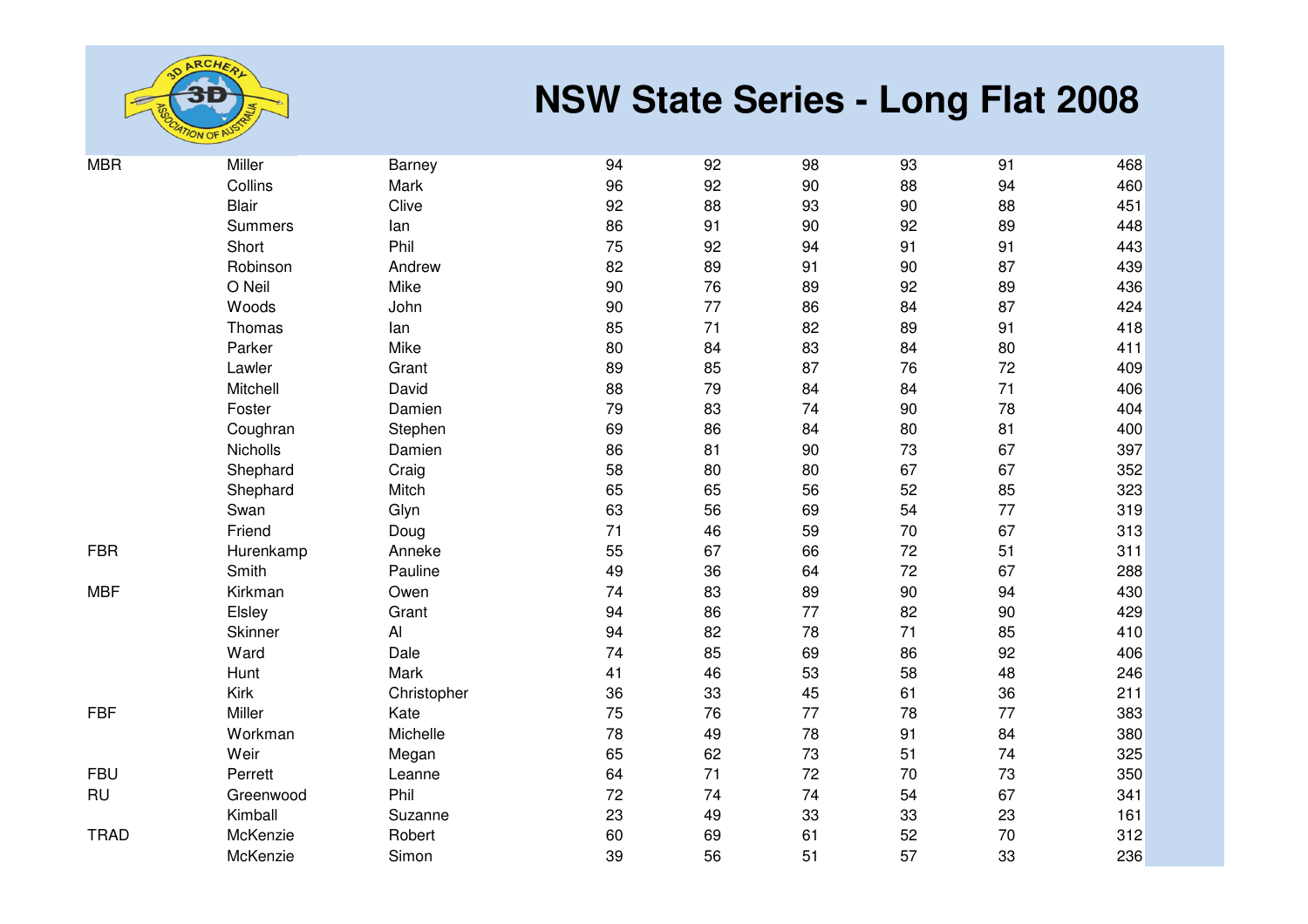

| <b>MBR</b>  | Miller         | Barney       | 94 | 92 | 98 | 93 | 91 | 468 |
|-------------|----------------|--------------|----|----|----|----|----|-----|
|             | Collins        | Mark         | 96 | 92 | 90 | 88 | 94 | 460 |
|             | <b>Blair</b>   | Clive        | 92 | 88 | 93 | 90 | 88 | 451 |
|             | <b>Summers</b> | lan          | 86 | 91 | 90 | 92 | 89 | 448 |
|             | Short          | Phil         | 75 | 92 | 94 | 91 | 91 | 443 |
|             | Robinson       | Andrew       | 82 | 89 | 91 | 90 | 87 | 439 |
|             | O Neil         | Mike         | 90 | 76 | 89 | 92 | 89 | 436 |
|             | Woods          | John         | 90 | 77 | 86 | 84 | 87 | 424 |
|             | Thomas         | lan          | 85 | 71 | 82 | 89 | 91 | 418 |
|             | Parker         | Mike         | 80 | 84 | 83 | 84 | 80 | 411 |
|             | Lawler         | Grant        | 89 | 85 | 87 | 76 | 72 | 409 |
|             | Mitchell       | David        | 88 | 79 | 84 | 84 | 71 | 406 |
|             | Foster         | Damien       | 79 | 83 | 74 | 90 | 78 | 404 |
|             | Coughran       | Stephen      | 69 | 86 | 84 | 80 | 81 | 400 |
|             | Nicholls       | Damien       | 86 | 81 | 90 | 73 | 67 | 397 |
|             | Shephard       | Craig        | 58 | 80 | 80 | 67 | 67 | 352 |
|             | Shephard       | Mitch        | 65 | 65 | 56 | 52 | 85 | 323 |
|             | Swan           | Glyn         | 63 | 56 | 69 | 54 | 77 | 319 |
|             | Friend         | Doug         | 71 | 46 | 59 | 70 | 67 | 313 |
| <b>FBR</b>  | Hurenkamp      | Anneke       | 55 | 67 | 66 | 72 | 51 | 311 |
|             | Smith          | Pauline      | 49 | 36 | 64 | 72 | 67 | 288 |
| <b>MBF</b>  | Kirkman        | Owen         | 74 | 83 | 89 | 90 | 94 | 430 |
|             | Elsley         | Grant        | 94 | 86 | 77 | 82 | 90 | 429 |
|             | Skinner        | $\mathsf{A}$ | 94 | 82 | 78 | 71 | 85 | 410 |
|             | Ward           | Dale         | 74 | 85 | 69 | 86 | 92 | 406 |
|             | Hunt           | Mark         | 41 | 46 | 53 | 58 | 48 | 246 |
|             | Kirk           | Christopher  | 36 | 33 | 45 | 61 | 36 | 211 |
| ${\sf FBF}$ | Miller         | Kate         | 75 | 76 | 77 | 78 | 77 | 383 |
|             | Workman        | Michelle     | 78 | 49 | 78 | 91 | 84 | 380 |
|             | Weir           | Megan        | 65 | 62 | 73 | 51 | 74 | 325 |
| <b>FBU</b>  | Perrett        | Leanne       | 64 | 71 | 72 | 70 | 73 | 350 |
| <b>RU</b>   | Greenwood      | Phil         | 72 | 74 | 74 | 54 | 67 | 341 |
|             | Kimball        | Suzanne      | 23 | 49 | 33 | 33 | 23 | 161 |
| <b>TRAD</b> | McKenzie       | Robert       | 60 | 69 | 61 | 52 | 70 | 312 |
|             | McKenzie       | Simon        | 39 | 56 | 51 | 57 | 33 | 236 |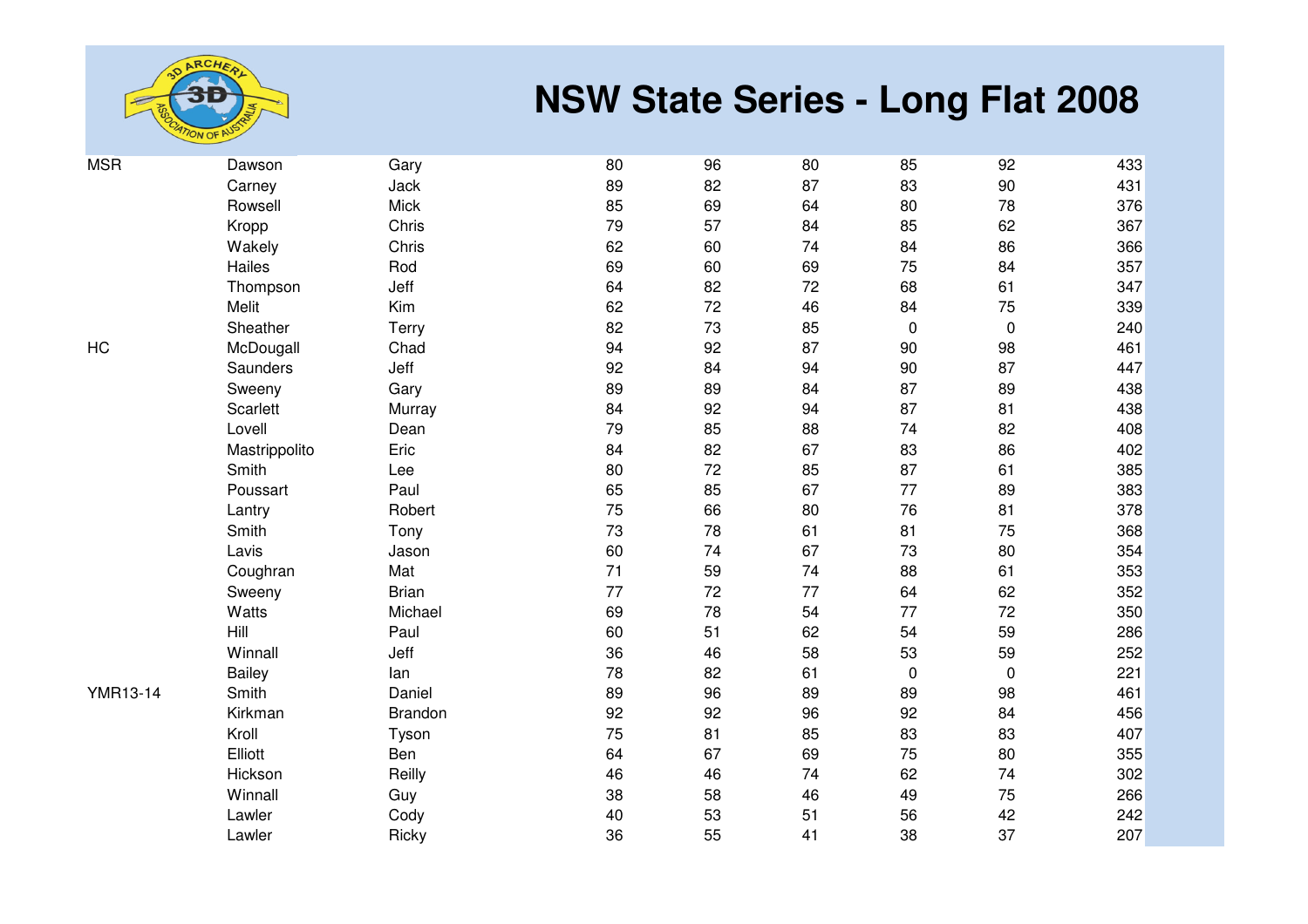

| <b>MSR</b>      | Dawson        | Gary         | 80 | 96     | 80 | 85          | 92        | 433 |
|-----------------|---------------|--------------|----|--------|----|-------------|-----------|-----|
|                 | Carney        | Jack         | 89 | 82     | 87 | 83          | 90        | 431 |
|                 | Rowsell       | <b>Mick</b>  | 85 | 69     | 64 | 80          | 78        | 376 |
|                 | Kropp         | Chris        | 79 | 57     | 84 | 85          | 62        | 367 |
|                 | Wakely        | Chris        | 62 | 60     | 74 | 84          | 86        | 366 |
|                 | Hailes        | Rod          | 69 | 60     | 69 | 75          | 84        | 357 |
|                 | Thompson      | Jeff         | 64 | 82     | 72 | 68          | 61        | 347 |
|                 | Melit         | Kim          | 62 | 72     | 46 | 84          | 75        | 339 |
|                 | Sheather      | Terry        | 82 | 73     | 85 | $\mathbf 0$ | $\pmb{0}$ | 240 |
| <b>HC</b>       | McDougall     | Chad         | 94 | 92     | 87 | 90          | 98        | 461 |
|                 | Saunders      | Jeff         | 92 | 84     | 94 | 90          | 87        | 447 |
|                 | Sweeny        | Gary         | 89 | 89     | 84 | 87          | 89        | 438 |
|                 | Scarlett      | Murray       | 84 | 92     | 94 | 87          | 81        | 438 |
|                 | Lovell        | Dean         | 79 | 85     | 88 | 74          | 82        | 408 |
|                 | Mastrippolito | Eric         | 84 | 82     | 67 | 83          | 86        | 402 |
|                 | Smith         | Lee          | 80 | $72\,$ | 85 | 87          | 61        | 385 |
|                 | Poussart      | Paul         | 65 | 85     | 67 | 77          | 89        | 383 |
|                 | Lantry        | Robert       | 75 | 66     | 80 | 76          | 81        | 378 |
|                 | Smith         | Tony         | 73 | 78     | 61 | 81          | 75        | 368 |
|                 | Lavis         | Jason        | 60 | 74     | 67 | 73          | 80        | 354 |
|                 | Coughran      | Mat          | 71 | 59     | 74 | 88          | 61        | 353 |
|                 | Sweeny        | <b>Brian</b> | 77 | 72     | 77 | 64          | 62        | 352 |
|                 | Watts         | Michael      | 69 | 78     | 54 | 77          | 72        | 350 |
|                 | Hill          | Paul         | 60 | 51     | 62 | 54          | 59        | 286 |
|                 | Winnall       | Jeff         | 36 | 46     | 58 | 53          | 59        | 252 |
|                 | <b>Bailey</b> | lan          | 78 | 82     | 61 | $\pmb{0}$   | $\pmb{0}$ | 221 |
| <b>YMR13-14</b> | Smith         | Daniel       | 89 | 96     | 89 | 89          | 98        | 461 |
|                 | Kirkman       | Brandon      | 92 | 92     | 96 | 92          | 84        | 456 |
|                 | Kroll         | Tyson        | 75 | 81     | 85 | 83          | 83        | 407 |
|                 | Elliott       | Ben          | 64 | 67     | 69 | 75          | 80        | 355 |
|                 | Hickson       | Reilly       | 46 | 46     | 74 | 62          | 74        | 302 |
|                 | Winnall       | Guy          | 38 | 58     | 46 | 49          | 75        | 266 |
|                 | Lawler        | Cody         | 40 | 53     | 51 | 56          | 42        | 242 |
|                 | Lawler        | Ricky        | 36 | 55     | 41 | 38          | 37        | 207 |